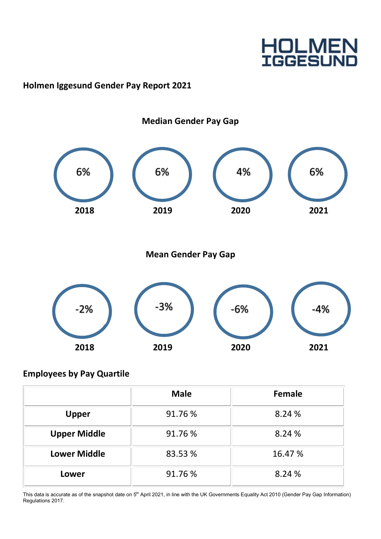## **HOLMEN**<br>IGGESUND

### Holmen Iggesund Gender Pay Report 2021



### Employees by Pay Quartile

|                     | <b>Male</b> | <b>Female</b> |
|---------------------|-------------|---------------|
| <b>Upper</b>        | 91.76 %     | 8.24 %        |
| <b>Upper Middle</b> | 91.76 %     | 8.24 %        |
| <b>Lower Middle</b> | 83.53 %     | 16.47 %       |
| Lower               | 91.76 %     | 8.24 %        |

This data is accurate as of the snapshot date on 5<sup>th</sup> April 2021, in line with the UK Governments Equality Act 2010 (Gender Pay Gap Information) Regulations 2017.